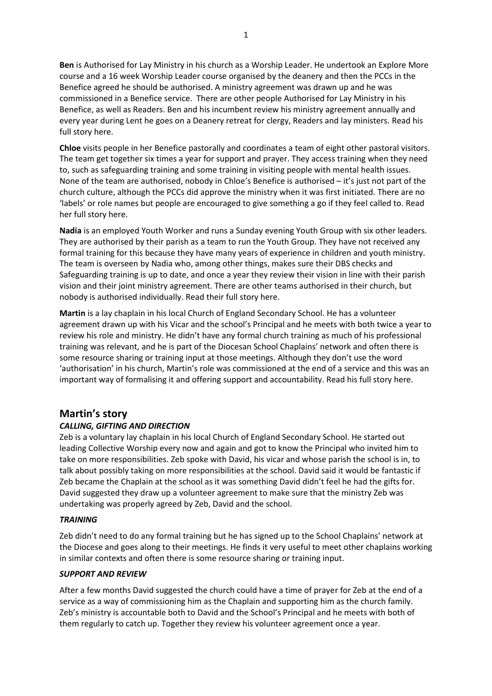**Ben** is Authorised for Lay Ministry in his church as a Worship Leader. He undertook an Explore More course and a 16 week Worship Leader course organised by the deanery and then the PCCs in the Benefice agreed he should be authorised. A ministry agreement was drawn up and he was commissioned in a Benefice service. There are other people Authorised for Lay Ministry in his Benefice, as well as Readers. Ben and his incumbent review his ministry agreement annually and every year during Lent he goes on a Deanery retreat for clergy, Readers and lay ministers. Read his full story here.

**Chloe** visits people in her Benefice pastorally and coordinates a team of eight other pastoral visitors. The team get together six times a year for support and prayer. They access training when they need to, such as safeguarding training and some training in visiting people with mental health issues. None of the team are authorised, nobody in Chloe's Benefice is authorised – it's just not part of the church culture, although the PCCs did approve the ministry when it was first initiated. There are no 'labels' or role names but people are encouraged to give something a go if they feel called to. Read her full story here.

**Nadia** is an employed Youth Worker and runs a Sunday evening Youth Group with six other leaders. They are authorised by their parish as a team to run the Youth Group. They have not received any formal training for this because they have many years of experience in children and youth ministry. The team is overseen by Nadia who, among other things, makes sure their DBS checks and Safeguarding training is up to date, and once a year they review their vision in line with their parish vision and their joint ministry agreement. There are other teams authorised in their church, but nobody is authorised individually. Read their full story here.

**Martin** is a lay chaplain in his local Church of England Secondary School. He has a volunteer agreement drawn up with his Vicar and the school's Principal and he meets with both twice a year to review his role and ministry. He didn't have any formal church training as much of his professional training was relevant, and he is part of the Diocesan School Chaplains' network and often there is some resource sharing or training input at those meetings. Although they don't use the word 'authorisation' in his church, Martin's role was commissioned at the end of a service and this was an important way of formalising it and offering support and accountability. Read his full story here.

# **Martin's story**

# *CALLING, GIFTING AND DIRECTION*

Zeb is a voluntary lay chaplain in his local Church of England Secondary School. He started out leading Collective Worship every now and again and got to know the Principal who invited him to take on more responsibilities. Zeb spoke with David, his vicar and whose parish the school is in, to talk about possibly taking on more responsibilities at the school. David said it would be fantastic if Zeb became the Chaplain at the school as it was something David didn't feel he had the gifts for. David suggested they draw up a volunteer agreement to make sure that the ministry Zeb was undertaking was properly agreed by Zeb, David and the school.

## *TRAINING*

Zeb didn't need to do any formal training but he has signed up to the School Chaplains' network at the Diocese and goes along to their meetings. He finds it very useful to meet other chaplains working in similar contexts and often there is some resource sharing or training input.

## *SUPPORT AND REVIEW*

After a few months David suggested the church could have a time of prayer for Zeb at the end of a service as a way of commissioning him as the Chaplain and supporting him as the church family. Zeb's ministry is accountable both to David and the School's Principal and he meets with both of them regularly to catch up. Together they review his volunteer agreement once a year.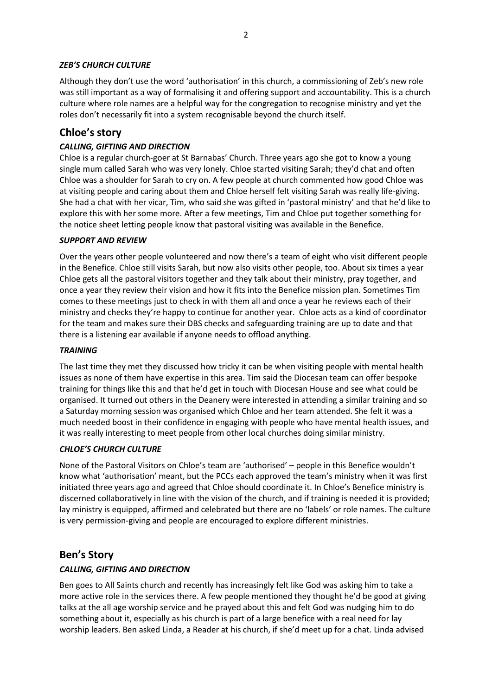## *ZEB'S CHURCH CULTURE*

Although they don't use the word 'authorisation' in this church, a commissioning of Zeb's new role was still important as a way of formalising it and offering support and accountability. This is a church culture where role names are a helpful way for the congregation to recognise ministry and yet the roles don't necessarily fit into a system recognisable beyond the church itself.

# **Chloe's story**

## *CALLING, GIFTING AND DIRECTION*

Chloe is a regular church-goer at St Barnabas' Church. Three years ago she got to know a young single mum called Sarah who was very lonely. Chloe started visiting Sarah; they'd chat and often Chloe was a shoulder for Sarah to cry on. A few people at church commented how good Chloe was at visiting people and caring about them and Chloe herself felt visiting Sarah was really life-giving. She had a chat with her vicar, Tim, who said she was gifted in 'pastoral ministry' and that he'd like to explore this with her some more. After a few meetings, Tim and Chloe put together something for the notice sheet letting people know that pastoral visiting was available in the Benefice.

## *SUPPORT AND REVIEW*

Over the years other people volunteered and now there's a team of eight who visit different people in the Benefice. Chloe still visits Sarah, but now also visits other people, too. About six times a year Chloe gets all the pastoral visitors together and they talk about their ministry, pray together, and once a year they review their vision and how it fits into the Benefice mission plan. Sometimes Tim comes to these meetings just to check in with them all and once a year he reviews each of their ministry and checks they're happy to continue for another year. Chloe acts as a kind of coordinator for the team and makes sure their DBS checks and safeguarding training are up to date and that there is a listening ear available if anyone needs to offload anything.

## *TRAINING*

The last time they met they discussed how tricky it can be when visiting people with mental health issues as none of them have expertise in this area. Tim said the Diocesan team can offer bespoke training for things like this and that he'd get in touch with Diocesan House and see what could be organised. It turned out others in the Deanery were interested in attending a similar training and so a Saturday morning session was organised which Chloe and her team attended. She felt it was a much needed boost in their confidence in engaging with people who have mental health issues, and it was really interesting to meet people from other local churches doing similar ministry.

## *CHLOE'S CHURCH CULTURE*

None of the Pastoral Visitors on Chloe's team are 'authorised' – people in this Benefice wouldn't know what 'authorisation' meant, but the PCCs each approved the team's ministry when it was first initiated three years ago and agreed that Chloe should coordinate it. In Chloe's Benefice ministry is discerned collaboratively in line with the vision of the church, and if training is needed it is provided; lay ministry is equipped, affirmed and celebrated but there are no 'labels' or role names. The culture is very permission-giving and people are encouraged to explore different ministries.

# **Ben's Story**

# *CALLING, GIFTING AND DIRECTION*

Ben goes to All Saints church and recently has increasingly felt like God was asking him to take a more active role in the services there. A few people mentioned they thought he'd be good at giving talks at the all age worship service and he prayed about this and felt God was nudging him to do something about it, especially as his church is part of a large benefice with a real need for lay worship leaders. Ben asked Linda, a Reader at his church, if she'd meet up for a chat. Linda advised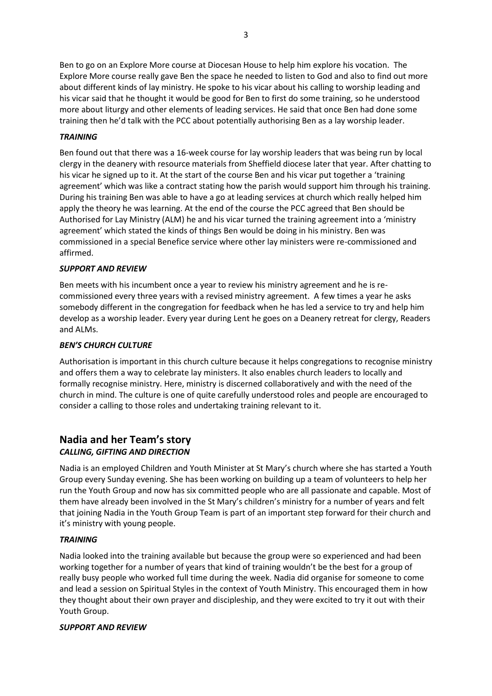Ben to go on an Explore More course at Diocesan House to help him explore his vocation. The Explore More course really gave Ben the space he needed to listen to God and also to find out more about different kinds of lay ministry. He spoke to his vicar about his calling to worship leading and his vicar said that he thought it would be good for Ben to first do some training, so he understood more about liturgy and other elements of leading services. He said that once Ben had done some training then he'd talk with the PCC about potentially authorising Ben as a lay worship leader.

## *TRAINING*

Ben found out that there was a 16-week course for lay worship leaders that was being run by local clergy in the deanery with resource materials from Sheffield diocese later that year. After chatting to his vicar he signed up to it. At the start of the course Ben and his vicar put together a 'training agreement' which was like a contract stating how the parish would support him through his training. During his training Ben was able to have a go at leading services at church which really helped him apply the theory he was learning. At the end of the course the PCC agreed that Ben should be Authorised for Lay Ministry (ALM) he and his vicar turned the training agreement into a 'ministry agreement' which stated the kinds of things Ben would be doing in his ministry. Ben was commissioned in a special Benefice service where other lay ministers were re-commissioned and affirmed.

## *SUPPORT AND REVIEW*

Ben meets with his incumbent once a year to review his ministry agreement and he is recommissioned every three years with a revised ministry agreement. A few times a year he asks somebody different in the congregation for feedback when he has led a service to try and help him develop as a worship leader. Every year during Lent he goes on a Deanery retreat for clergy, Readers and ALMs.

## *BEN'S CHURCH CULTURE*

Authorisation is important in this church culture because it helps congregations to recognise ministry and offers them a way to celebrate lay ministers. It also enables church leaders to locally and formally recognise ministry. Here, ministry is discerned collaboratively and with the need of the church in mind. The culture is one of quite carefully understood roles and people are encouraged to consider a calling to those roles and undertaking training relevant to it.

# **Nadia and her Team's story**

# *CALLING, GIFTING AND DIRECTION*

Nadia is an employed Children and Youth Minister at St Mary's church where she has started a Youth Group every Sunday evening. She has been working on building up a team of volunteers to help her run the Youth Group and now has six committed people who are all passionate and capable. Most of them have already been involved in the St Mary's children's ministry for a number of years and felt that joining Nadia in the Youth Group Team is part of an important step forward for their church and it's ministry with young people.

## *TRAINING*

Nadia looked into the training available but because the group were so experienced and had been working together for a number of years that kind of training wouldn't be the best for a group of really busy people who worked full time during the week. Nadia did organise for someone to come and lead a session on Spiritual Styles in the context of Youth Ministry. This encouraged them in how they thought about their own prayer and discipleship, and they were excited to try it out with their Youth Group.

## *SUPPORT AND REVIEW*